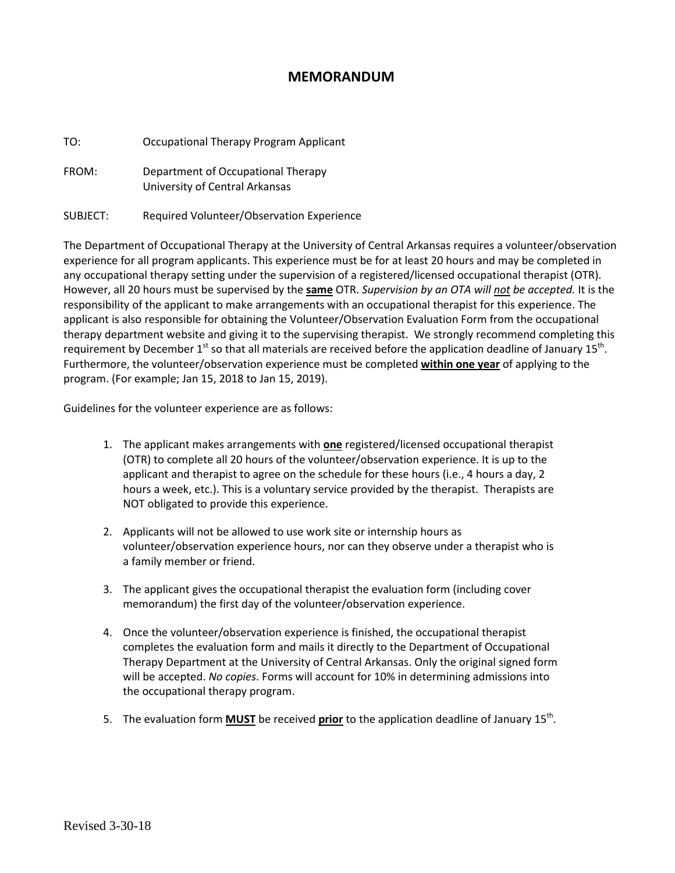## **MEMORANDUM**

TO: Occupational Therapy Program Applicant

FROM: Department of Occupational Therapy University of Central Arkansas

SUBJECT: Required Volunteer/Observation Experience

The Department of Occupational Therapy at the University of Central Arkansas requires a volunteer/observation experience for all program applicants. This experience must be for at least 20 hours and may be completed in any occupational therapy setting under the supervision of a registered/licensed occupational therapist (OTR). However, all 20 hours must be supervised by the **same** OTR. *Supervision by an OTA will not be accepted.* It is the responsibility of the applicant to make arrangements with an occupational therapist for this experience. The applicant is also responsible for obtaining the Volunteer/Observation Evaluation Form from the occupational therapy department website and giving it to the supervising therapist. We strongly recommend completing this requirement by December  $1<sup>st</sup>$  so that all materials are received before the application deadline of January  $15<sup>th</sup>$ . Furthermore, the volunteer/observation experience must be completed **within one year** of applying to the program. (For example; Jan 15, 2018 to Jan 15, 2019).

Guidelines for the volunteer experience are as follows:

- 1. The applicant makes arrangements with **one** registered/licensed occupational therapist (OTR) to complete all 20 hours of the volunteer/observation experience. It is up to the applicant and therapist to agree on the schedule for these hours (i.e., 4 hours a day, 2 hours a week, etc.). This is a voluntary service provided by the therapist. Therapists are NOT obligated to provide this experience.
- 2. Applicants will not be allowed to use work site or internship hours as volunteer/observation experience hours, nor can they observe under a therapist who is a family member or friend.
- 3. The applicant gives the occupational therapist the evaluation form (including cover memorandum) the first day of the volunteer/observation experience.
- 4. Once the volunteer/observation experience is finished, the occupational therapist completes the evaluation form and mails it directly to the Department of Occupational Therapy Department at the University of Central Arkansas. Only the original signed form will be accepted. *No copies*. Forms will account for 10% in determining admissions into the occupational therapy program.
- 5. The evaluation form **MUST** be received **prior** to the application deadline of January 15th.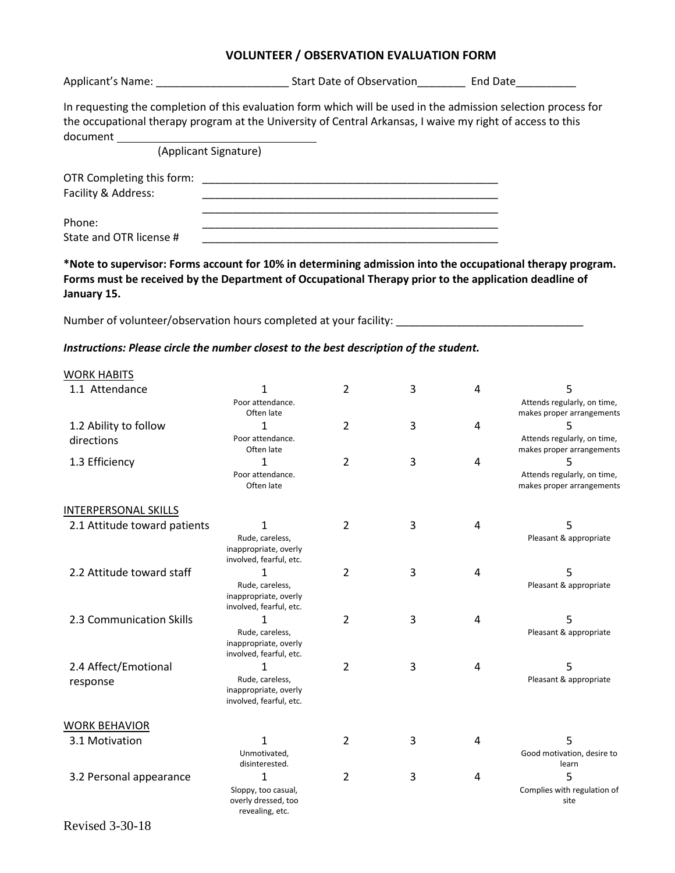## **VOLUNTEER / OBSERVATION EVALUATION FORM**

Applicant's Name: \_\_\_\_\_\_\_\_\_\_\_\_\_\_\_\_\_\_\_\_\_\_ Start Date of Observation\_\_\_\_\_\_\_\_ End Date\_\_\_\_\_\_\_\_\_\_ In requesting the completion of this evaluation form which will be used in the admission selection process for the occupational therapy program at the University of Central Arkansas, I waive my right of access to this document (Applicant Signature) OTR Completing this form: \_\_\_\_\_\_\_\_\_\_\_\_\_\_\_\_\_\_\_\_\_\_\_\_\_\_\_\_\_\_\_\_\_\_\_\_\_\_\_\_\_\_\_\_\_\_\_\_\_ Facility & Address:

 \_\_\_\_\_\_\_\_\_\_\_\_\_\_\_\_\_\_\_\_\_\_\_\_\_\_\_\_\_\_\_\_\_\_\_\_\_\_\_\_\_\_\_\_\_\_\_\_\_ Phone: \_\_\_\_\_\_\_\_\_\_\_\_\_\_\_\_\_\_\_\_\_\_\_\_\_\_\_\_\_\_\_\_\_\_\_\_\_\_\_\_\_\_\_\_\_\_\_\_\_ State and OTR license #  $\overline{a}$ 

**\*Note to supervisor: Forms account for 10% in determining admission into the occupational therapy program. Forms must be received by the Department of Occupational Therapy prior to the application deadline of January 15.**

Number of volunteer/observation hours completed at your facility: \_\_\_\_\_\_\_\_\_\_\_\_\_\_\_\_\_\_\_\_\_\_\_\_\_\_\_\_\_\_\_\_\_\_

## *Instructions: Please circle the number closest to the best description of the student.*

revealing, etc.

| <b>WORK HABITS</b>           |                                                                          |   |   |   |                                                               |
|------------------------------|--------------------------------------------------------------------------|---|---|---|---------------------------------------------------------------|
| 1.1 Attendance               | 1<br>Poor attendance.<br>Often late                                      | 2 | 3 | 4 | 5<br>Attends regularly, on time,<br>makes proper arrangements |
| 1.2 Ability to follow        | 1                                                                        | 2 | 3 | 4 |                                                               |
| directions                   | Poor attendance.<br>Often late                                           |   |   |   | Attends regularly, on time,<br>makes proper arrangements      |
| 1.3 Efficiency               | 1<br>Poor attendance.<br>Often late                                      | 2 | 3 | 4 | Attends regularly, on time,<br>makes proper arrangements      |
| <b>INTERPERSONAL SKILLS</b>  |                                                                          |   |   |   |                                                               |
| 2.1 Attitude toward patients | 1<br>Rude, careless,<br>inappropriate, overly<br>involved, fearful, etc. | 2 | 3 | 4 | 5<br>Pleasant & appropriate                                   |
| 2.2 Attitude toward staff    | 1<br>Rude, careless,<br>inappropriate, overly<br>involved, fearful, etc. | 2 | 3 | 4 | 5<br>Pleasant & appropriate                                   |
| 2.3 Communication Skills     | 1<br>Rude, careless,<br>inappropriate, overly<br>involved, fearful, etc. | 2 | 3 | 4 | 5<br>Pleasant & appropriate                                   |
| 2.4 Affect/Emotional         |                                                                          | 2 | 3 | 4 | 5                                                             |
| response                     | Rude, careless,<br>inappropriate, overly<br>involved, fearful, etc.      |   |   |   | Pleasant & appropriate                                        |
| <b>WORK BEHAVIOR</b>         |                                                                          |   |   |   |                                                               |
| 3.1 Motivation               | 1<br>Unmotivated,<br>disinterested.                                      | 2 | 3 | 4 | 5<br>Good motivation, desire to<br>learn                      |
| 3.2 Personal appearance      | 1<br>Sloppy, too casual,<br>overly dressed, too                          | 2 | 3 | 4 | 5<br>Complies with regulation of<br>site                      |